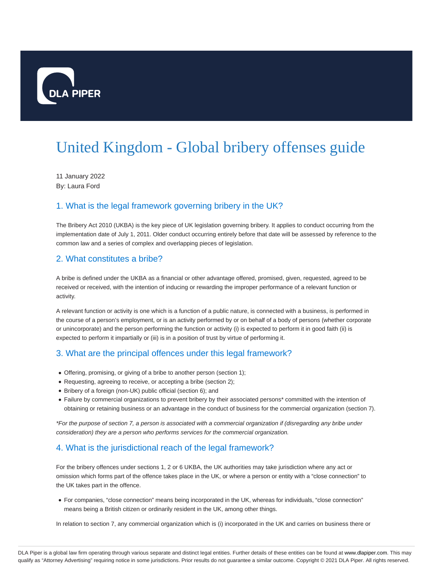

# United Kingdom - Global bribery offenses guide

11 January 2022 By: Laura Ford

### 1. What is the legal framework governing bribery in the UK?

The Bribery Act 2010 (UKBA) is the key piece of UK legislation governing bribery. It applies to conduct occurring from the implementation date of July 1, 2011. Older conduct occurring entirely before that date will be assessed by reference to the common law and a series of complex and overlapping pieces of legislation.

#### 2. What constitutes a bribe?

A bribe is defined under the UKBA as a financial or other advantage offered, promised, given, requested, agreed to be received or received, with the intention of inducing or rewarding the improper performance of a relevant function or activity.

A relevant function or activity is one which is a function of a public nature, is connected with a business, is performed in the course of a person's employment, or is an activity performed by or on behalf of a body of persons (whether corporate or unincorporate) and the person performing the function or activity (i) is expected to perform it in good faith (ii) is expected to perform it impartially or (iii) is in a position of trust by virtue of performing it.

#### 3. What are the principal offences under this legal framework?

- Offering, promising, or giving of a bribe to another person (section 1);
- Requesting, agreeing to receive, or accepting a bribe (section 2);
- Bribery of a foreign (non-UK) public official (section 6); and
- Failure by commercial organizations to prevent bribery by their associated persons\* committed with the intention of obtaining or retaining business or an advantage in the conduct of business for the commercial organization (section 7).

\*For the purpose of section 7, a person is associated with a commercial organization if (disregarding any bribe under consideration) they are a person who performs services for the commercial organization.

## 4. What is the jurisdictional reach of the legal framework?

For the bribery offences under sections 1, 2 or 6 UKBA, the UK authorities may take jurisdiction where any act or omission which forms part of the offence takes place in the UK, or where a person or entity with a "close connection" to the UK takes part in the offence.

For companies, "close connection" means being incorporated in the UK, whereas for individuals, "close connection" means being a British citizen or ordinarily resident in the UK, among other things.

In relation to section 7, any commercial organization which is (i) incorporated in the UK and carries on business there or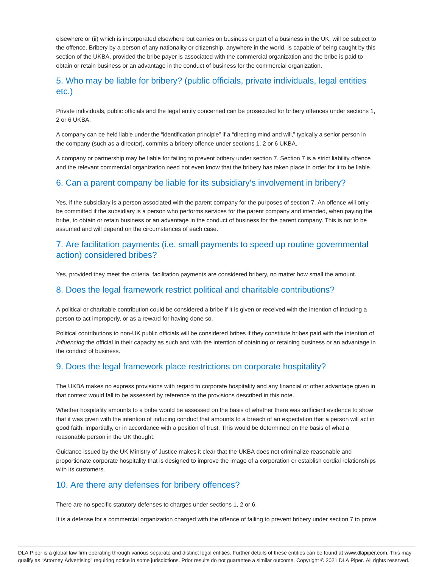elsewhere or (ii) which is incorporated elsewhere but carries on business or part of a business in the UK, will be subject to the offence. Bribery by a person of any nationality or citizenship, anywhere in the world, is capable of being caught by this section of the UKBA, provided the bribe payer is associated with the commercial organization and the bribe is paid to obtain or retain business or an advantage in the conduct of business for the commercial organization.

#### 5. Who may be liable for bribery? (public officials, private individuals, legal entities etc.)

Private individuals, public officials and the legal entity concerned can be prosecuted for bribery offences under sections 1, 2 or 6 UKBA.

A company can be held liable under the "identification principle" if a "directing mind and will," typically a senior person in the company (such as a director), commits a bribery offence under sections 1, 2 or 6 UKBA.

A company or partnership may be liable for failing to prevent bribery under section 7. Section 7 is a strict liability offence and the relevant commercial organization need not even know that the bribery has taken place in order for it to be liable.

### 6. Can a parent company be liable for its subsidiary's involvement in bribery?

Yes, if the subsidiary is a person associated with the parent company for the purposes of section 7. An offence will only be committed if the subsidiary is a person who performs services for the parent company and intended, when paying the bribe, to obtain or retain business or an advantage in the conduct of business for the parent company. This is not to be assumed and will depend on the circumstances of each case.

#### 7. Are facilitation payments (i.e. small payments to speed up routine governmental action) considered bribes?

Yes, provided they meet the criteria, facilitation payments are considered bribery, no matter how small the amount.

#### 8. Does the legal framework restrict political and charitable contributions?

A political or charitable contribution could be considered a bribe if it is given or received with the intention of inducing a person to act improperly, or as a reward for having done so.

Political contributions to non-UK public officials will be considered bribes if they constitute bribes paid with the intention of influencing the official in their capacity as such and with the intention of obtaining or retaining business or an advantage in the conduct of business.

#### 9. Does the legal framework place restrictions on corporate hospitality?

The UKBA makes no express provisions with regard to corporate hospitality and any financial or other advantage given in that context would fall to be assessed by reference to the provisions described in this note.

Whether hospitality amounts to a bribe would be assessed on the basis of whether there was sufficient evidence to show that it was given with the intention of inducing conduct that amounts to a breach of an expectation that a person will act in good faith, impartially, or in accordance with a position of trust. This would be determined on the basis of what a reasonable person in the UK thought.

Guidance issued by the UK Ministry of Justice makes it clear that the UKBA does not criminalize reasonable and proportionate corporate hospitality that is designed to improve the image of a corporation or establish cordial relationships with its customers.

#### 10. Are there any defenses for bribery offences?

There are no specific statutory defenses to charges under sections 1, 2 or 6.

It is a defense for a commercial organization charged with the offence of failing to prevent bribery under section 7 to prove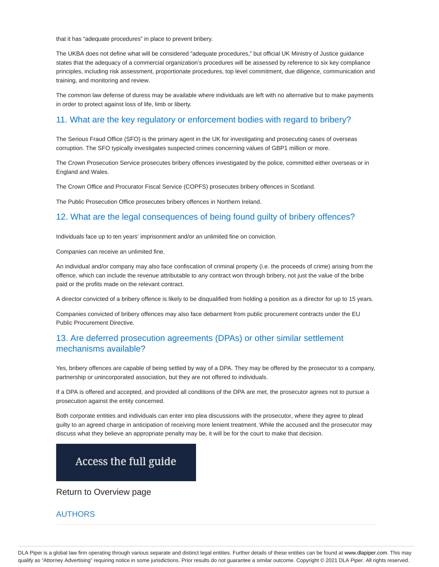that it has "adequate procedures" in place to prevent bribery.

The UKBA does not define what will be considered "adequate procedures," but official UK Ministry of Justice guidance states that the adequacy of a commercial organization's procedures will be assessed by reference to six key compliance principles, including risk assessment, proportionate procedures, top level commitment, due diligence, communication and training, and monitoring and review.

The common law defense of duress may be available where individuals are left with no alternative but to make payments in order to protect against loss of life, limb or liberty.

#### 11. What are the key regulatory or enforcement bodies with regard to bribery?

The Serious Fraud Office (SFO) is the primary agent in the UK for investigating and prosecuting cases of overseas corruption. The SFO typically investigates suspected crimes concerning values of GBP1 million or more.

The Crown Prosecution Service prosecutes bribery offences investigated by the police, committed either overseas or in England and Wales.

The Crown Office and Procurator Fiscal Service (COPFS) prosecutes bribery offences in Scotland.

The Public Prosecution Office prosecutes bribery offences in Northern Ireland.

#### 12. What are the legal consequences of being found guilty of bribery offences?

Individuals face up to ten years' imprisonment and/or an unlimited fine on conviction.

Companies can receive an unlimited fine.

An individual and/or company may also face confiscation of criminal property (i.e. the proceeds of crime) arising from the offence, which can include the revenue attributable to any contract won through bribery, not just the value of the bribe paid or the profits made on the relevant contract.

A director convicted of a bribery offence is likely to be disqualified from holding a position as a director for up to 15 years.

Companies convicted of bribery offences may also face debarment from public procurement contracts under the EU Public Procurement Directive.

#### 13. Are deferred prosecution agreements (DPAs) or other similar settlement mechanisms available?

Yes, bribery offences are capable of being settled by way of a DPA. They may be offered by the prosecutor to a company, partnership or unincorporated association, but they are not offered to individuals.

If a DPA is offered and accepted, and provided all conditions of the DPA are met, the prosecutor agrees not to pursue a prosecution against the entity concerned.

Both corporate entities and individuals can enter into plea discussions with the prosecutor, where they agree to plead guilty to an agreed charge in anticipation of receiving more lenient treatment. While the accused and the prosecutor may discuss what they believe an appropriate penalty may be, it will be for the court to make that decision.

# Access the full guide

Return to Overview page

#### AUTHORS

DLA Piper is a global law firm operating through various separate and distinct legal entities. Further details of these entities can be found at www.dlapiper.com. This may qualify as "Attorney Advertising" requiring notice in some jurisdictions. Prior results do not guarantee a similar outcome. Copyright © 2021 DLA Piper. All rights reserved.